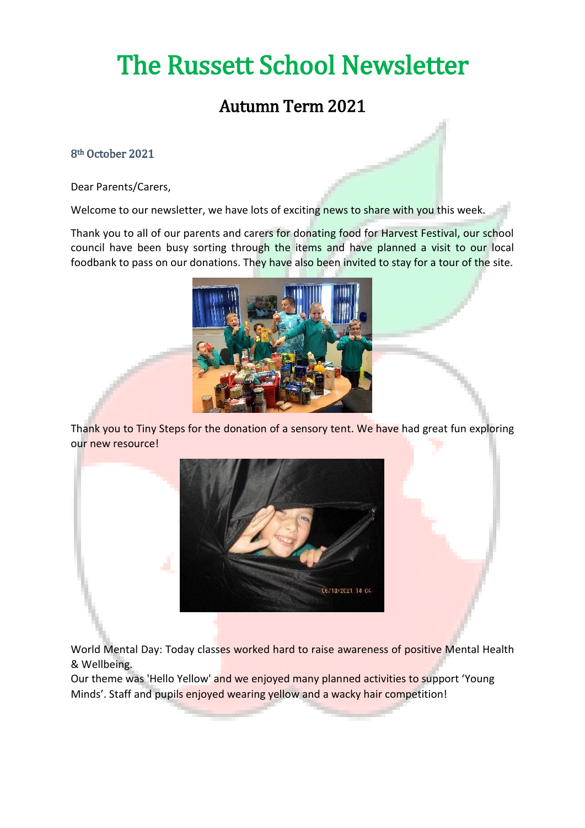# The Russett School Newsletter

### Autumn Term 2021

### 8th October 2021

Dear Parents/Carers,

Welcome to our newsletter, we have lots of exciting news to share with you this week.

Thank you to all of our parents and carers for donating food for Harvest Festival, our school council have been busy sorting through the items and have planned a visit to our local foodbank to pass on our donations. They have also been invited to stay for a tour of the site.



Thank you to Tiny Steps for the donation of a sensory tent. We have had great fun exploring our new resource!



World Mental Day: Today classes worked hard to raise awareness of positive Mental Health & Wellbeing.

Our theme was 'Hello Yellow' and we enjoyed many planned activities to support 'Young Minds'. Staff and pupils enjoyed wearing yellow and a wacky hair competition!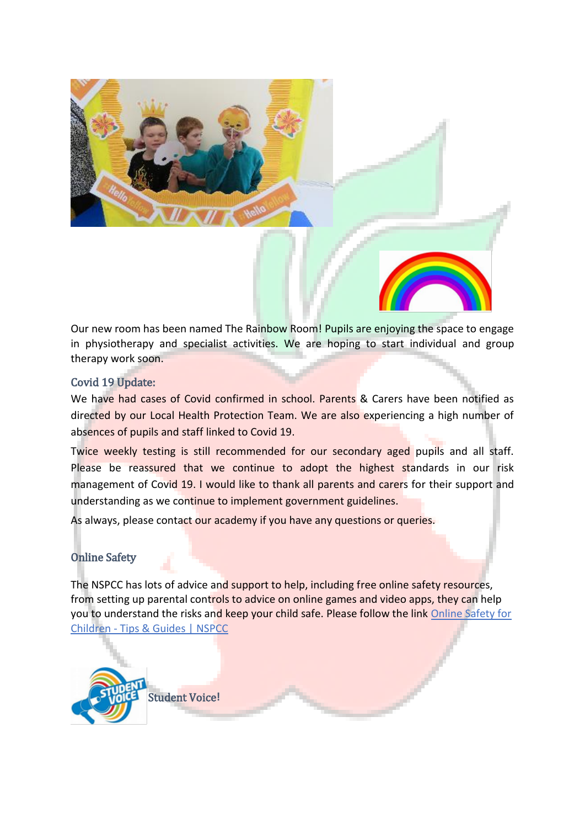

Our new room has been named The Rainbow Room! Pupils are enjoying the space to engage in physiotherapy and specialist activities. We are hoping to start individual and group therapy work soon.

### Covid 19 Update:

We have had cases of Covid confirmed in school. Parents & Carers have been notified as directed by our Local Health Protection Team. We are also experiencing a high number of absences of pupils and staff linked to Covid 19.

Twice weekly testing is still recommended for our secondary aged pupils and all staff. Please be reassured that we continue to adopt the highest standards in our risk management of Covid 19. I would like to thank all parents and carers for their support and understanding as we continue to implement government guidelines.

As always, please contact our academy if you have any questions or queries.

### Online Safety

The NSPCC has lots of advice and support to help, including free online safety resources, from setting up parental controls to advice on online games and video apps, they can help you to understand the risks and keep your child safe. Please follow the link Online Safety for Children - [Tips & Guides | NSPCC](https://www.nspcc.org.uk/keeping-children-safe/online-safety/)

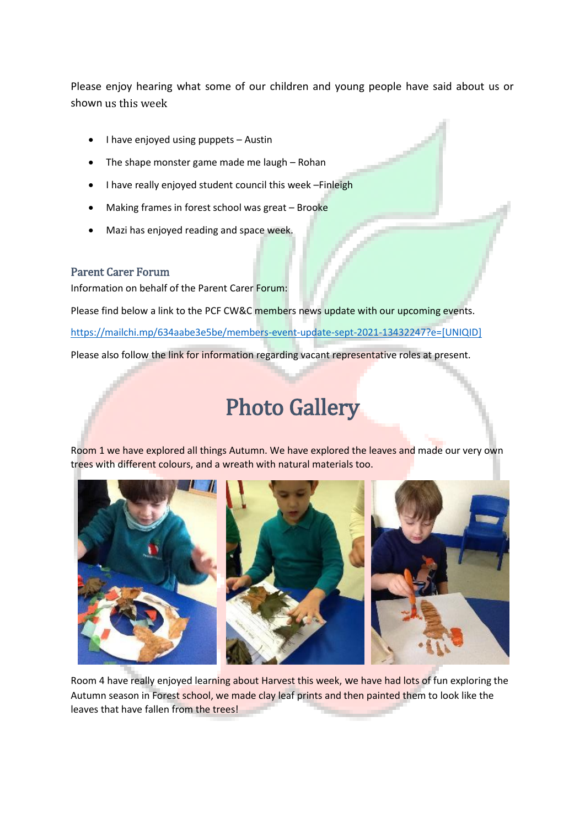Please enjoy hearing what some of our children and young people have said about us or shown us this week

- I have enjoyed using puppets Austin
- The shape monster game made me laugh Rohan
- I have really enjoyed student council this week –Finleigh
- Making frames in forest school was great Brooke
- Mazi has enjoyed reading and space week.

### Parent Carer Forum

Information on behalf of the Parent Carer Forum:

Please find below a link to the PCF CW&C members news update with our upcoming events.

[https://mailchi.mp/634aabe3e5be/members-event-update-sept-2021-13432247?e=\[UNIQID\]](https://mailchi.mp/634aabe3e5be/members-event-update-sept-2021-13432247?e=%5bUNIQID%5d)

Please also follow the link for information regarding vacant representative roles at present.

## Photo Gallery

Room 1 we have explored all things Autumn. We have explored the leaves and made our very own trees with different colours, and a wreath with natural materials too.



Room 4 have really enjoyed learning about Harvest this week, we have had lots of fun exploring the Autumn season in Forest school, we made clay leaf prints and then painted them to look like the leaves that have fallen from the trees!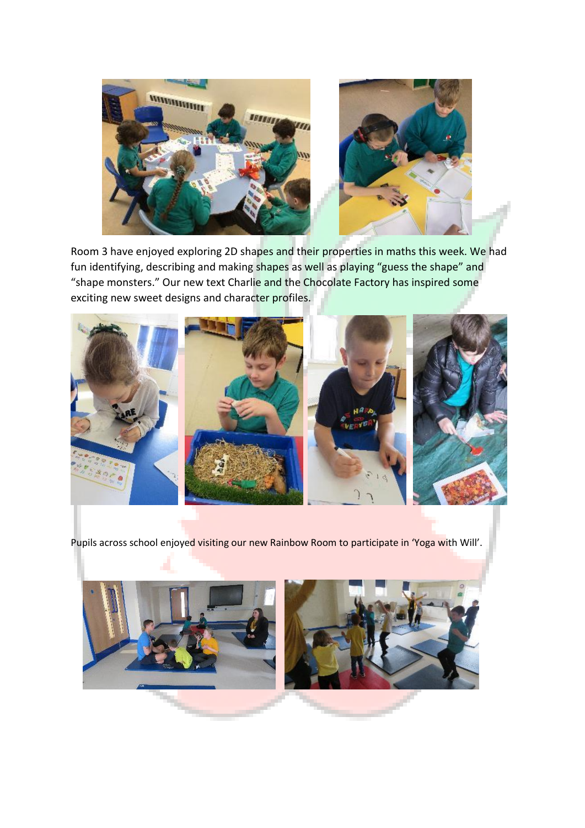

Room 3 have enjoyed exploring 2D shapes and their properties in maths this week. We had fun identifying, describing and making shapes as well as playing "guess the shape" and "shape monsters." Our new text Charlie and the Chocolate Factory has inspired some exciting new sweet designs and character profiles.



Pupils across school enjoyed visiting our new Rainbow Room to participate in 'Yoga with Will'.